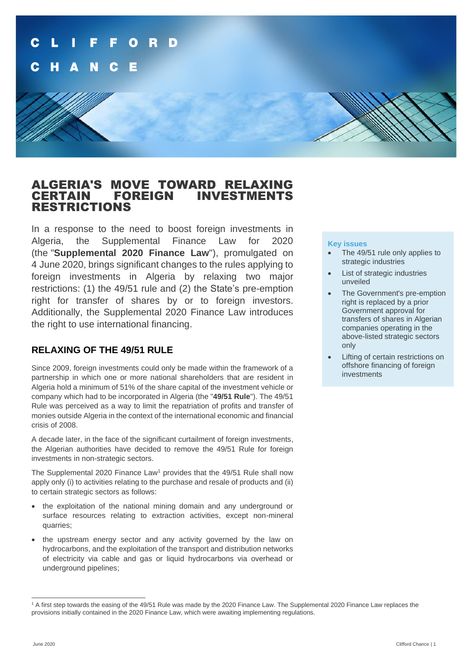

## ALGERIA'S MOVE TOWARD RELAXING FOREIGN INVESTMENTS RESTRICTIONS

In a response to the need to boost foreign investments in Algeria, the Supplemental Finance Law for 2020 (the "**Supplemental 2020 Finance Law**"), promulgated on 4 June 2020, brings significant changes to the rules applying to foreign investments in Algeria by relaxing two major restrictions: (1) the 49/51 rule and (2) the State's pre-emption right for transfer of shares by or to foreign investors. Additionally, the Supplemental 2020 Finance Law introduces the right to use international financing.

## **RELAXING OF THE 49/51 RULE**

Since 2009, foreign investments could only be made within the framework of a partnership in which one or more national shareholders that are resident in Algeria hold a minimum of 51% of the share capital of the investment vehicle or company which had to be incorporated in Algeria (the "**49/51 Rule**"). The 49/51 Rule was perceived as a way to limit the repatriation of profits and transfer of monies outside Algeria in the context of the international economic and financial crisis of 2008.

A decade later, in the face of the significant curtailment of foreign investments, the Algerian authorities have decided to remove the 49/51 Rule for foreign investments in non-strategic sectors.

The Supplemental 2020 Finance Law<sup>1</sup> provides that the 49/51 Rule shall now apply only (i) to activities relating to the purchase and resale of products and (ii) to certain strategic sectors as follows:

- the exploitation of the national mining domain and any underground or surface resources relating to extraction activities, except non-mineral quarries;
- the upstream energy sector and any activity governed by the law on hydrocarbons, and the exploitation of the transport and distribution networks of electricity via cable and gas or liquid hydrocarbons via overhead or underground pipelines;

### **Key issues**

- The 49/51 rule only applies to strategic industries
- List of strategic industries unveiled
- The Government's pre-emption right is replaced by a prior Government approval for transfers of shares in Algerian companies operating in the above-listed strategic sectors only
- Lifting of certain restrictions on offshore financing of foreign investments

<sup>1</sup> A first step towards the easing of the 49/51 Rule was made by the 2020 Finance Law. The Supplemental 2020 Finance Law replaces the provisions initially contained in the 2020 Finance Law, which were awaiting implementing regulations.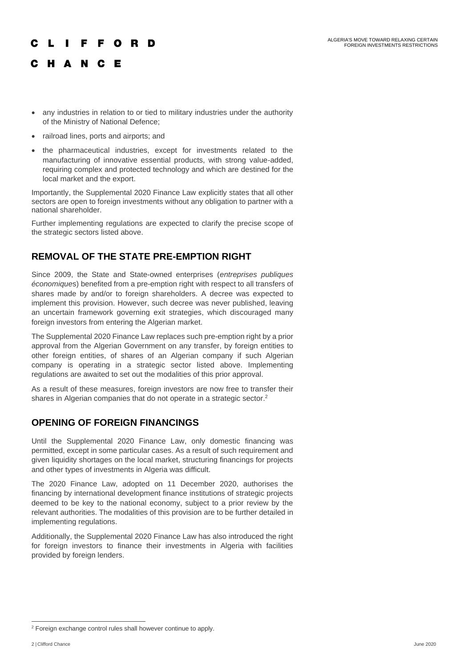# **IFFORD** C H A N C E

- any industries in relation to or tied to military industries under the authority of the Ministry of National Defence;
- railroad lines, ports and airports; and
- the pharmaceutical industries, except for investments related to the manufacturing of innovative essential products, with strong value-added, requiring complex and protected technology and which are destined for the local market and the export.

Importantly, the Supplemental 2020 Finance Law explicitly states that all other sectors are open to foreign investments without any obligation to partner with a national shareholder.

Further implementing regulations are expected to clarify the precise scope of the strategic sectors listed above.

## **REMOVAL OF THE STATE PRE-EMPTION RIGHT**

Since 2009, the State and State-owned enterprises (*entreprises publiques économique*s) benefited from a pre-emption right with respect to all transfers of shares made by and/or to foreign shareholders. A decree was expected to implement this provision. However, such decree was never published, leaving an uncertain framework governing exit strategies, which discouraged many foreign investors from entering the Algerian market.

The Supplemental 2020 Finance Law replaces such pre-emption right by a prior approval from the Algerian Government on any transfer, by foreign entities to other foreign entities, of shares of an Algerian company if such Algerian company is operating in a strategic sector listed above. Implementing regulations are awaited to set out the modalities of this prior approval.

As a result of these measures, foreign investors are now free to transfer their shares in Algerian companies that do not operate in a strategic sector.<sup>2</sup>

## **OPENING OF FOREIGN FINANCINGS**

Until the Supplemental 2020 Finance Law, only domestic financing was permitted, except in some particular cases. As a result of such requirement and given liquidity shortages on the local market, structuring financings for projects and other types of investments in Algeria was difficult.

The 2020 Finance Law, adopted on 11 December 2020, authorises the financing by international development finance institutions of strategic projects deemed to be key to the national economy, subject to a prior review by the relevant authorities. The modalities of this provision are to be further detailed in implementing regulations.

Additionally, the Supplemental 2020 Finance Law has also introduced the right for foreign investors to finance their investments in Algeria with facilities provided by foreign lenders.

<sup>2</sup> Foreign exchange control rules shall however continue to apply.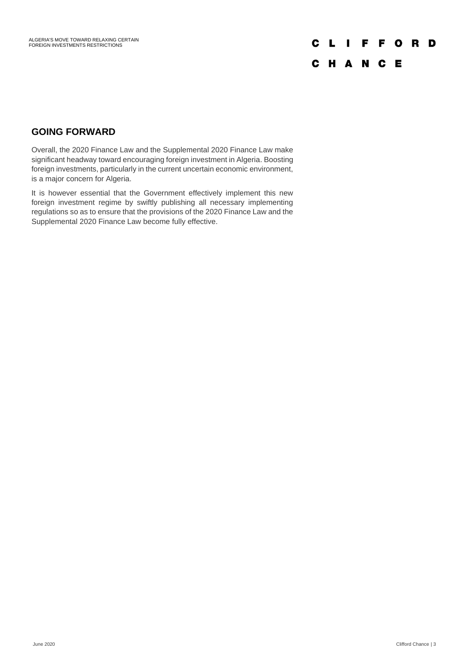# **CLIFFORD**

## C H A N C E

## **GOING FORWARD**

Overall, the 2020 Finance Law and the Supplemental 2020 Finance Law make significant headway toward encouraging foreign investment in Algeria. Boosting foreign investments, particularly in the current uncertain economic environment, is a major concern for Algeria.

It is however essential that the Government effectively implement this new foreign investment regime by swiftly publishing all necessary implementing regulations so as to ensure that the provisions of the 2020 Finance Law and the Supplemental 2020 Finance Law become fully effective.